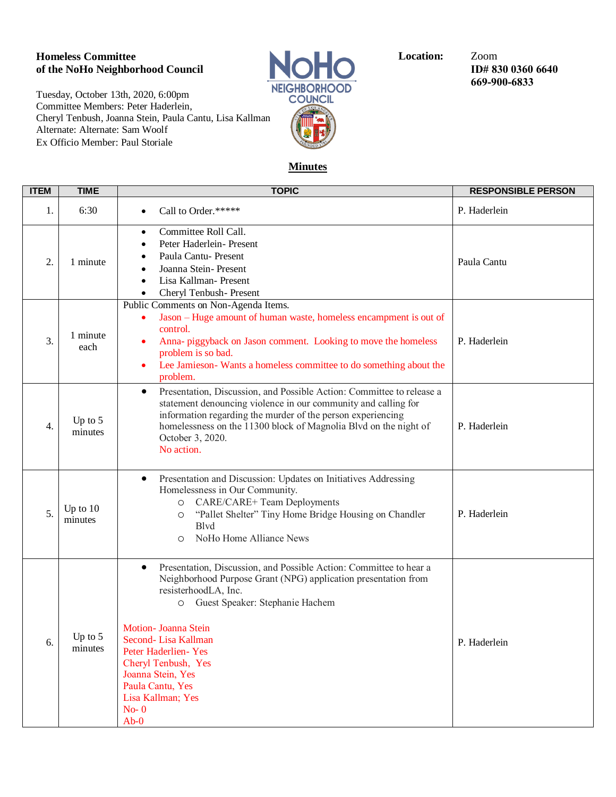## **Homeless Committee Committee Location:**  $\bullet$  Zoom of the NoHo Neighborhood Council **Location:**  $\bullet$  Zoom ID# 8. **of the NoHo Neighborhood Council ID# 830 0360 6640**

Tuesday, October 13th, 2020, 6:00pm Committee Members: Peter Haderlein, Cheryl Tenbush, Joanna Stein, Paula Cantu, Lisa Kallman Alternate: Alternate: Sam Woolf Ex Officio Member: Paul Storiale



**669-900-6833**

## **Minutes**

| <b>ITEM</b> | <b>TIME</b>           | <b>TOPIC</b>                                                                                                                                                                                                                                                                                                                                                                          | <b>RESPONSIBLE PERSON</b> |
|-------------|-----------------------|---------------------------------------------------------------------------------------------------------------------------------------------------------------------------------------------------------------------------------------------------------------------------------------------------------------------------------------------------------------------------------------|---------------------------|
| 1.          | 6:30                  | Call to Order.*****                                                                                                                                                                                                                                                                                                                                                                   | P. Haderlein              |
| 2.          | 1 minute              | Committee Roll Call.<br>$\bullet$<br>Peter Haderlein- Present<br>Paula Cantu- Present<br>Joanna Stein-Present<br>Lisa Kallman-Present<br>Cheryl Tenbush- Present<br>$\bullet$                                                                                                                                                                                                         | Paula Cantu               |
| 3.          | 1 minute<br>each      | Public Comments on Non-Agenda Items.<br>Jason – Huge amount of human waste, homeless encampment is out of<br>٠<br>control.<br>Anna- piggyback on Jason comment. Looking to move the homeless<br>problem is so bad.<br>Lee Jamieson-Wants a homeless committee to do something about the<br>$\bullet$<br>problem.                                                                      | P. Haderlein              |
| 4.          | Up to $5$<br>minutes  | Presentation, Discussion, and Possible Action: Committee to release a<br>$\bullet$<br>statement denouncing violence in our community and calling for<br>information regarding the murder of the person experiencing<br>homelessness on the 11300 block of Magnolia Blvd on the night of<br>October 3, 2020.<br>No action.                                                             | P. Haderlein              |
| 5.          | Up to $10$<br>minutes | Presentation and Discussion: Updates on Initiatives Addressing<br>٠<br>Homelessness in Our Community.<br>CARE/CARE+ Team Deployments<br>O<br>"Pallet Shelter" Tiny Home Bridge Housing on Chandler<br>$\circ$<br><b>B</b> lvd<br>NoHo Home Alliance News<br>$\circ$                                                                                                                   | P. Haderlein              |
| 6.          | Up to $5$<br>minutes  | Presentation, Discussion, and Possible Action: Committee to hear a<br>٠<br>Neighborhood Purpose Grant (NPG) application presentation from<br>resisterhoodLA, Inc.<br>O Guest Speaker: Stephanie Hachem<br>Motion- Joanna Stein<br>Second-Lisa Kallman<br>Peter Haderlien-Yes<br>Cheryl Tenbush, Yes<br>Joanna Stein, Yes<br>Paula Cantu, Yes<br>Lisa Kallman; Yes<br>$No-0$<br>$Ab-0$ | P. Haderlein              |